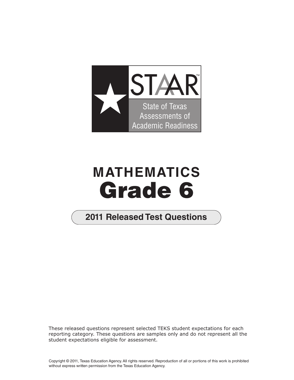

## **MATHEMATICS Grade 6**

## **2011 2011 Released Test Questions**

These released questions represent selected TEKS student expectations for each reporting category. These questions are samples only and do not represent all the student expectations eligible for assessment.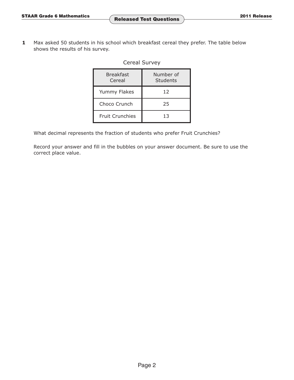**1** Max asked 50 students in his school which breakfast cereal they prefer. The table below shows the results of his survey.

## Cereal Survey

| <b>Breakfast</b><br>Cereal | Number of<br>Students |  |
|----------------------------|-----------------------|--|
| Yummy Flakes               | 12                    |  |
| Choco Crunch               | 25                    |  |
| <b>Fruit Crunchies</b>     | 13                    |  |

What decimal represents the fraction of students who prefer Fruit Crunchies?

Record your answer and fill in the bubbles on your answer document. Be sure to use the correct place value.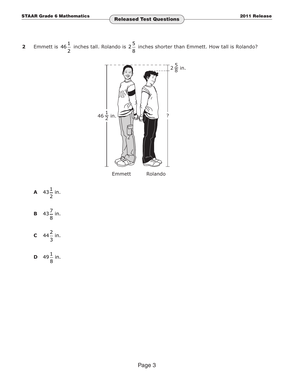**2** Emmett is 46 $\frac{1}{2}$  inches tall. Rolando is 2 $\frac{5}{2}$  inches shorter than Emmett. How tall is Rolando? 2 8



Emmett Rolando

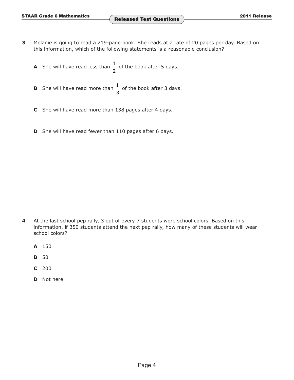- **3** Melanie is going to read a 219-page book. She reads at a rate of 20 pages per day. Based on this information, which of the following statements is a reasonable conclusion?
	- **A** She will have read less than  $\frac{1}{2}$  of the book after 5 days.
	- **B** She will have read more than  $\frac{1}{3}$  of the book after 3 days.
	- **C** She will have read more than 138 pages after 4 days.
	- **D** She will have read fewer than 110 pages after 6 days.

- **4** At the last school pep rally, 3 out of every 7 students wore school colors. Based on this information, if 350 students attend the next pep rally, how many of these students will wear school colors?
	- **A** 150
	- **B** 50
	- **C** 200
	- **D** Not here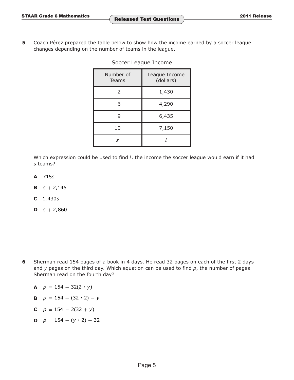**5** Coach Pérez prepared the table below to show how the income earned by a soccer league changes depending on the number of teams in the league.

| Number of<br>Teams | League Income<br>(dollars) |
|--------------------|----------------------------|
| 2                  | 1,430                      |
| 6                  | 4,290                      |
| 9                  | 6,435                      |
| 10                 | 7,150                      |
| ς                  |                            |

Soccer League Income

Which expression could be used to find *l*, the income the soccer league would earn if it had *s* teams?

- **A** 715*s*
- **B**  $s + 2,145$
- **C** 1,430*s*
- **D**  $s + 2,860$

- **6** Sherman read 154 pages of a book in 4 days. He read 32 pages on each of the first 2 days and *y* pages on the third day. Which equation can be used to find *p*, the number of pages Sherman read on the fourth day?
	- **A**  $p = 154 32(2 \cdot y)$
	- **B**  $p = 154 (32 \cdot 2) y$
	- **C**  $p = 154 2(32 + y)$
	- **D**  $p = 154 (y \cdot 2) 32$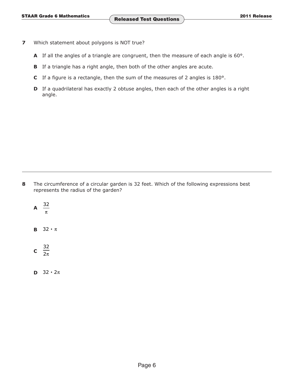- **7** Which statement about polygons is NOT true?
	- **A** If all the angles of a triangle are congruent, then the measure of each angle is 60°.
	- **B** If a triangle has a right angle, then both of the other angles are acute.
	- **C** If a figure is a rectangle, then the sum of the measures of 2 angles is 180°.
	- **D** If a quadrilateral has exactly 2 obtuse angles, then each of the other angles is a right angle.

**8** The circumference of a circular garden is 32 feet. Which of the following expressions best represents the radius of the garden?

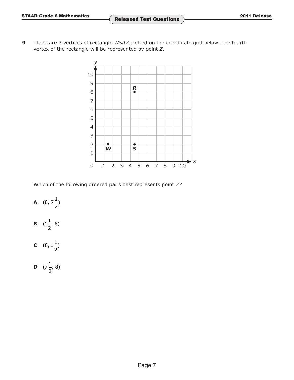**9** There are 3 vertices of rectangle *WSRZ* plotted on the coordinate grid below. The fourth vertex of the rectangle will be represented by point *Z*.



Which of the following ordered pairs best represents point *Z*?

**A**  $(8, 7^{\frac{1}{2}})$  $2^{'}$ **B**  $(1\frac{1}{2}, 8)$ **C**  $(8, 1^{\frac{1}{2}})$  $2^{'}$ 

**D**  $(7\frac{1}{2}, 8)$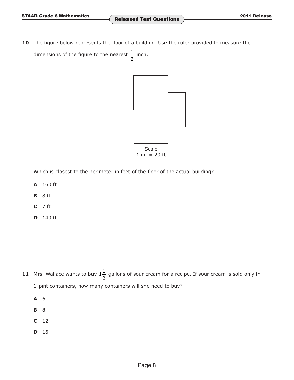10 The figure below represents the floor of a building. Use the ruler provided to measure the dimensions of the figure to the nearest  $\frac{1}{2}$  inch.



| Scale |                 |  |  |  |  |  |
|-------|-----------------|--|--|--|--|--|
|       | 1 in. $= 20$ ft |  |  |  |  |  |

I

Which is closest to the perimeter in feet of the floor of the actual building?

- **A** 160 ft
- **B** 8 ft
- **C** 7 ft
- **D** 140 ft

- **11** Mrs. Wallace wants to buy  $1\frac{1}{2}$  gallons of sour cream for a recipe. If sour cream is sold only in 1-pint containers, how many containers will she need to buy?
	- **A** 6
	- **B** 8
	- **C** 12
	- **D** 16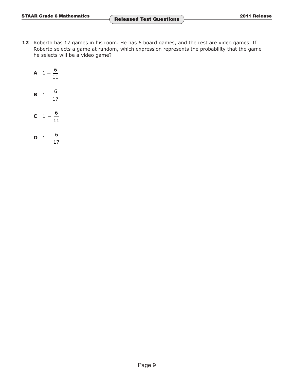12 Roberto has 17 games in his room. He has 6 board games, and the rest are video games. If Roberto selects a game at random, which expression represents the probability that the game he selects will be a video game?

$$
A \quad 1 + \frac{6}{11}
$$

$$
B \quad 1 + \frac{6}{17}
$$

$$
c \quad 1-\frac{6}{11}
$$

$$
\mathbf{D} \quad 1 - \frac{6}{17}
$$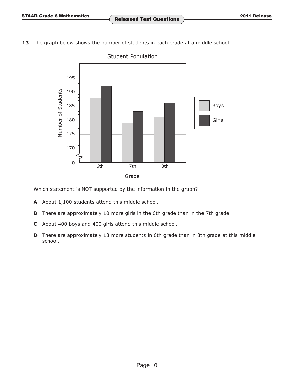**13** The graph below shows the number of students in each grade at a middle school.



Student Population

Which statement is NOT supported by the information in the graph?

- **A** About 1,100 students attend this middle school.
- **B** There are approximately 10 more girls in the 6th grade than in the 7th grade.
- **C** About 400 boys and 400 girls attend this middle school.
- **D** There are approximately 13 more students in 6th grade than in 8th grade at this middle school.